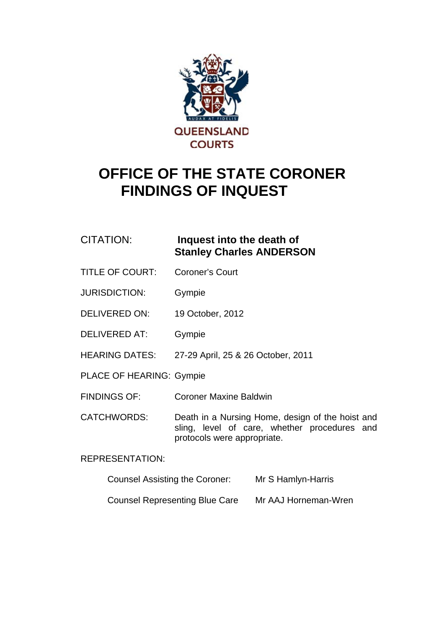

# **OFFICE OF THE STATE CORONER FINDINGS OF INQUEST**

### CITATION: **Inquest into the death of Stanley Charles ANDERSON**

- TITLE OF COURT: Coroner's Court
- JURISDICTION: Gympie
- DELIVERED ON: 19 October, 2012
- DELIVERED AT: Gympie
- HEARING DATES: 27-29 April, 25 & 26 October, 2011
- PLACE OF HEARING: Gympie
- FINDINGS OF: Coroner Maxine Baldwin

CATCHWORDS: Death in a Nursing Home, design of the hoist and sling, level of care, whether procedures and protocols were appropriate.

#### REPRESENTATION:

- Counsel Assisting the Coroner: Mr S Hamlyn-Harris
- Counsel Representing Blue Care Mr AAJ Horneman-Wren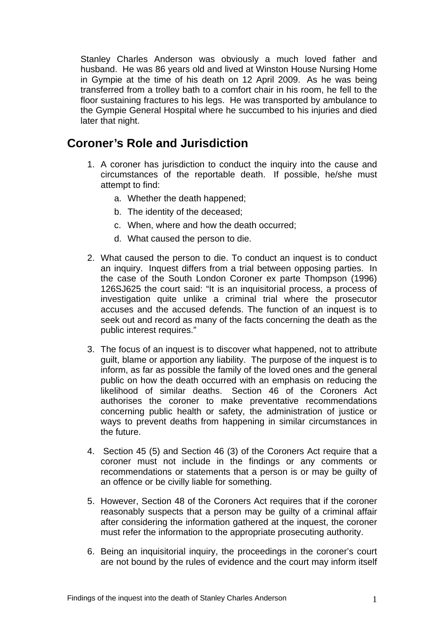Stanley Charles Anderson was obviously a much loved father and husband. He was 86 years old and lived at Winston House Nursing Home in Gympie at the time of his death on 12 April 2009. As he was being transferred from a trolley bath to a comfort chair in his room, he fell to the floor sustaining fractures to his legs. He was transported by ambulance to the Gympie General Hospital where he succumbed to his injuries and died later that night.

## **Coroner's Role and Jurisdiction**

- 1. A coroner has jurisdiction to conduct the inquiry into the cause and circumstances of the reportable death. If possible, he/she must attempt to find:
	- a. Whether the death happened;
	- b. The identity of the deceased;
	- c. When, where and how the death occurred;
	- d. What caused the person to die.
- 2. What caused the person to die. To conduct an inquest is to conduct an inquiry. Inquest differs from a trial between opposing parties. In the case of the South London Coroner ex parte Thompson (1996) 126SJ625 the court said: "It is an inquisitorial process, a process of investigation quite unlike a criminal trial where the prosecutor accuses and the accused defends. The function of an inquest is to seek out and record as many of the facts concerning the death as the public interest requires."
- 3. The focus of an inquest is to discover what happened, not to attribute guilt, blame or apportion any liability. The purpose of the inquest is to inform, as far as possible the family of the loved ones and the general public on how the death occurred with an emphasis on reducing the likelihood of similar deaths. Section 46 of the Coroners Act authorises the coroner to make preventative recommendations concerning public health or safety, the administration of justice or ways to prevent deaths from happening in similar circumstances in the future.
- 4. Section 45 (5) and Section 46 (3) of the Coroners Act require that a coroner must not include in the findings or any comments or recommendations or statements that a person is or may be guilty of an offence or be civilly liable for something.
- 5. However, Section 48 of the Coroners Act requires that if the coroner reasonably suspects that a person may be guilty of a criminal affair after considering the information gathered at the inquest, the coroner must refer the information to the appropriate prosecuting authority.
- 6. Being an inquisitorial inquiry, the proceedings in the coroner's court are not bound by the rules of evidence and the court may inform itself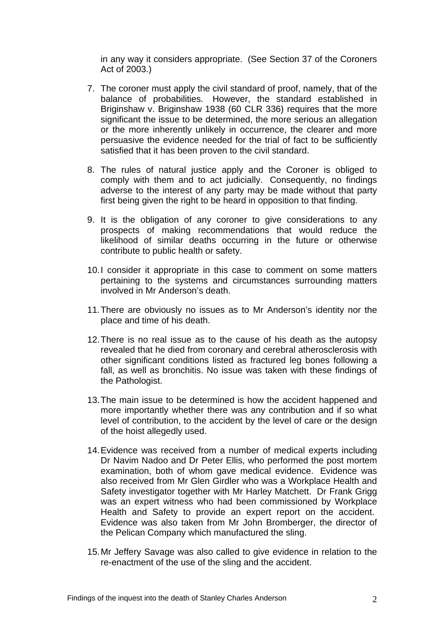in any way it considers appropriate. (See Section 37 of the Coroners Act of 2003.)

- 7. The coroner must apply the civil standard of proof, namely, that of the balance of probabilities. However, the standard established in Briginshaw v. Briginshaw 1938 (60 CLR 336) requires that the more significant the issue to be determined, the more serious an allegation or the more inherently unlikely in occurrence, the clearer and more persuasive the evidence needed for the trial of fact to be sufficiently satisfied that it has been proven to the civil standard.
- 8. The rules of natural justice apply and the Coroner is obliged to comply with them and to act judicially. Consequently, no findings adverse to the interest of any party may be made without that party first being given the right to be heard in opposition to that finding.
- 9. It is the obligation of any coroner to give considerations to any prospects of making recommendations that would reduce the likelihood of similar deaths occurring in the future or otherwise contribute to public health or safety.
- 10. I consider it appropriate in this case to comment on some matters pertaining to the systems and circumstances surrounding matters involved in Mr Anderson's death.
- 11. There are obviously no issues as to Mr Anderson's identity nor the place and time of his death.
- 12. There is no real issue as to the cause of his death as the autopsy revealed that he died from coronary and cerebral atherosclerosis with other significant conditions listed as fractured leg bones following a fall, as well as bronchitis. No issue was taken with these findings of the Pathologist.
- 13. The main issue to be determined is how the accident happened and more importantly whether there was any contribution and if so what level of contribution, to the accident by the level of care or the design of the hoist allegedly used.
- 14. Evidence was received from a number of medical experts including Dr Navim Nadoo and Dr Peter Ellis, who performed the post mortem examination, both of whom gave medical evidence. Evidence was also received from Mr Glen Girdler who was a Workplace Health and Safety investigator together with Mr Harley Matchett. Dr Frank Grigg was an expert witness who had been commissioned by Workplace Health and Safety to provide an expert report on the accident. Evidence was also taken from Mr John Bromberger, the director of the Pelican Company which manufactured the sling.
- 15. Mr Jeffery Savage was also called to give evidence in relation to the re-enactment of the use of the sling and the accident.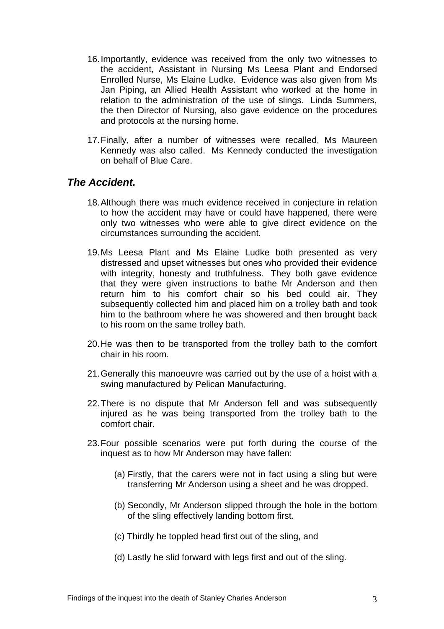- 16. Importantly, evidence was received from the only two witnesses to the accident, Assistant in Nursing Ms Leesa Plant and Endorsed Enrolled Nurse, Ms Elaine Ludke. Evidence was also given from Ms Jan Piping, an Allied Health Assistant who worked at the home in relation to the administration of the use of slings. Linda Summers, the then Director of Nursing, also gave evidence on the procedures and protocols at the nursing home.
- 17. Finally, after a number of witnesses were recalled, Ms Maureen Kennedy was also called. Ms Kennedy conducted the investigation on behalf of Blue Care.

#### *The Accident.*

- 18. Although there was much evidence received in conjecture in relation to how the accident may have or could have happened, there were only two witnesses who were able to give direct evidence on the circumstances surrounding the accident.
- 19. Ms Leesa Plant and Ms Elaine Ludke both presented as very distressed and upset witnesses but ones who provided their evidence with integrity, honesty and truthfulness. They both gave evidence that they were given instructions to bathe Mr Anderson and then return him to his comfort chair so his bed could air. They subsequently collected him and placed him on a trolley bath and took him to the bathroom where he was showered and then brought back to his room on the same trolley bath.
- 20. He was then to be transported from the trolley bath to the comfort chair in his room.
- 21. Generally this manoeuvre was carried out by the use of a hoist with a swing manufactured by Pelican Manufacturing.
- 22. There is no dispute that Mr Anderson fell and was subsequently injured as he was being transported from the trolley bath to the comfort chair.
- 23. Four possible scenarios were put forth during the course of the inquest as to how Mr Anderson may have fallen:
	- (a) Firstly, that the carers were not in fact using a sling but were transferring Mr Anderson using a sheet and he was dropped.
	- (b) Secondly, Mr Anderson slipped through the hole in the bottom of the sling effectively landing bottom first.
	- (c) Thirdly he toppled head first out of the sling, and
	- (d) Lastly he slid forward with legs first and out of the sling.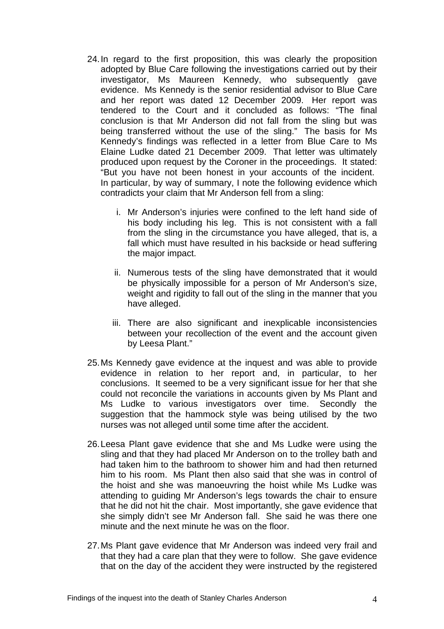- 24. In regard to the first proposition, this was clearly the proposition adopted by Blue Care following the investigations carried out by their investigator, Ms Maureen Kennedy, who subsequently gave evidence. Ms Kennedy is the senior residential advisor to Blue Care and her report was dated 12 December 2009. Her report was tendered to the Court and it concluded as follows: "The final conclusion is that Mr Anderson did not fall from the sling but was being transferred without the use of the sling." The basis for Ms Kennedy's findings was reflected in a letter from Blue Care to Ms Elaine Ludke dated 21 December 2009. That letter was ultimately produced upon request by the Coroner in the proceedings. It stated: "But you have not been honest in your accounts of the incident. In particular, by way of summary, I note the following evidence which contradicts your claim that Mr Anderson fell from a sling:
	- i. Mr Anderson's injuries were confined to the left hand side of his body including his leg. This is not consistent with a fall from the sling in the circumstance you have alleged, that is, a fall which must have resulted in his backside or head suffering the major impact.
	- ii. Numerous tests of the sling have demonstrated that it would be physically impossible for a person of Mr Anderson's size, weight and rigidity to fall out of the sling in the manner that you have alleged.
	- iii. There are also significant and inexplicable inconsistencies between your recollection of the event and the account given by Leesa Plant."
- 25. Ms Kennedy gave evidence at the inquest and was able to provide evidence in relation to her report and, in particular, to her conclusions. It seemed to be a very significant issue for her that she could not reconcile the variations in accounts given by Ms Plant and Ms Ludke to various investigators over time. Secondly the suggestion that the hammock style was being utilised by the two nurses was not alleged until some time after the accident.
- 26. Leesa Plant gave evidence that she and Ms Ludke were using the sling and that they had placed Mr Anderson on to the trolley bath and had taken him to the bathroom to shower him and had then returned him to his room. Ms Plant then also said that she was in control of the hoist and she was manoeuvring the hoist while Ms Ludke was attending to guiding Mr Anderson's legs towards the chair to ensure that he did not hit the chair. Most importantly, she gave evidence that she simply didn't see Mr Anderson fall. She said he was there one minute and the next minute he was on the floor.
- 27. Ms Plant gave evidence that Mr Anderson was indeed very frail and that they had a care plan that they were to follow. She gave evidence that on the day of the accident they were instructed by the registered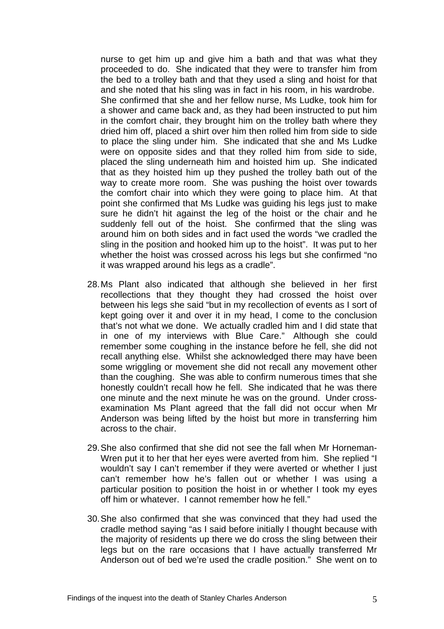nurse to get him up and give him a bath and that was what they proceeded to do. She indicated that they were to transfer him from the bed to a trolley bath and that they used a sling and hoist for that and she noted that his sling was in fact in his room, in his wardrobe. She confirmed that she and her fellow nurse, Ms Ludke, took him for a shower and came back and, as they had been instructed to put him in the comfort chair, they brought him on the trolley bath where they dried him off, placed a shirt over him then rolled him from side to side to place the sling under him. She indicated that she and Ms Ludke were on opposite sides and that they rolled him from side to side, placed the sling underneath him and hoisted him up. She indicated that as they hoisted him up they pushed the trolley bath out of the way to create more room. She was pushing the hoist over towards the comfort chair into which they were going to place him. At that point she confirmed that Ms Ludke was guiding his legs just to make sure he didn't hit against the leg of the hoist or the chair and he suddenly fell out of the hoist. She confirmed that the sling was around him on both sides and in fact used the words "we cradled the sling in the position and hooked him up to the hoist". It was put to her whether the hoist was crossed across his legs but she confirmed "no it was wrapped around his legs as a cradle".

- 28. Ms Plant also indicated that although she believed in her first recollections that they thought they had crossed the hoist over between his legs she said "but in my recollection of events as I sort of kept going over it and over it in my head, I come to the conclusion that's not what we done. We actually cradled him and I did state that in one of my interviews with Blue Care." Although she could remember some coughing in the instance before he fell, she did not recall anything else. Whilst she acknowledged there may have been some wriggling or movement she did not recall any movement other than the coughing. She was able to confirm numerous times that she honestly couldn't recall how he fell. She indicated that he was there one minute and the next minute he was on the ground. Under crossexamination Ms Plant agreed that the fall did not occur when Mr Anderson was being lifted by the hoist but more in transferring him across to the chair.
- 29. She also confirmed that she did not see the fall when Mr Horneman-Wren put it to her that her eyes were averted from him. She replied "I wouldn't say I can't remember if they were averted or whether I just can't remember how he's fallen out or whether I was using a particular position to position the hoist in or whether I took my eyes off him or whatever. I cannot remember how he fell."
- 30. She also confirmed that she was convinced that they had used the cradle method saying "as I said before initially I thought because with the majority of residents up there we do cross the sling between their legs but on the rare occasions that I have actually transferred Mr Anderson out of bed we're used the cradle position." She went on to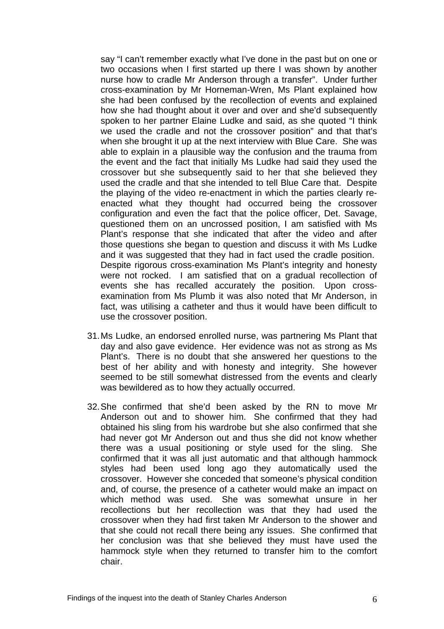say "I can't remember exactly what I've done in the past but on one or two occasions when I first started up there I was shown by another nurse how to cradle Mr Anderson through a transfer". Under further cross-examination by Mr Horneman-Wren, Ms Plant explained how she had been confused by the recollection of events and explained how she had thought about it over and over and she'd subsequently spoken to her partner Elaine Ludke and said, as she quoted "I think we used the cradle and not the crossover position" and that that's when she brought it up at the next interview with Blue Care. She was able to explain in a plausible way the confusion and the trauma from the event and the fact that initially Ms Ludke had said they used the crossover but she subsequently said to her that she believed they used the cradle and that she intended to tell Blue Care that. Despite the playing of the video re-enactment in which the parties clearly reenacted what they thought had occurred being the crossover configuration and even the fact that the police officer, Det. Savage, questioned them on an uncrossed position, I am satisfied with Ms Plant's response that she indicated that after the video and after those questions she began to question and discuss it with Ms Ludke and it was suggested that they had in fact used the cradle position. Despite rigorous cross-examination Ms Plant's integrity and honesty were not rocked. I am satisfied that on a gradual recollection of events she has recalled accurately the position. Upon crossexamination from Ms Plumb it was also noted that Mr Anderson, in fact, was utilising a catheter and thus it would have been difficult to use the crossover position.

- 31. Ms Ludke, an endorsed enrolled nurse, was partnering Ms Plant that day and also gave evidence. Her evidence was not as strong as Ms Plant's. There is no doubt that she answered her questions to the best of her ability and with honesty and integrity. She however seemed to be still somewhat distressed from the events and clearly was bewildered as to how they actually occurred.
- 32. She confirmed that she'd been asked by the RN to move Mr Anderson out and to shower him. She confirmed that they had obtained his sling from his wardrobe but she also confirmed that she had never got Mr Anderson out and thus she did not know whether there was a usual positioning or style used for the sling. She confirmed that it was all just automatic and that although hammock styles had been used long ago they automatically used the crossover. However she conceded that someone's physical condition and, of course, the presence of a catheter would make an impact on which method was used. She was somewhat unsure in her recollections but her recollection was that they had used the crossover when they had first taken Mr Anderson to the shower and that she could not recall there being any issues. She confirmed that her conclusion was that she believed they must have used the hammock style when they returned to transfer him to the comfort chair.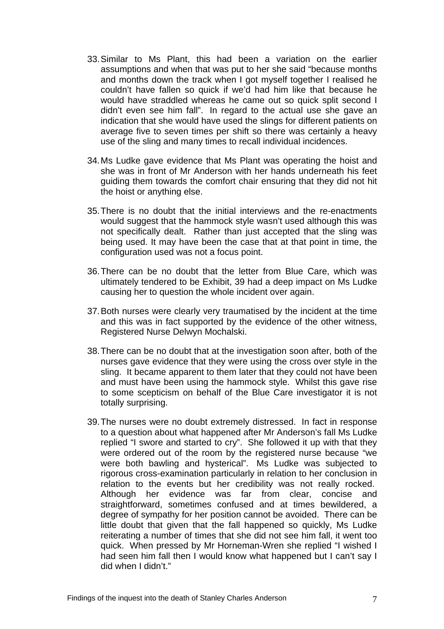- 33. Similar to Ms Plant, this had been a variation on the earlier assumptions and when that was put to her she said "because months and months down the track when I got myself together I realised he couldn't have fallen so quick if we'd had him like that because he would have straddled whereas he came out so quick split second I didn't even see him fall". In regard to the actual use she gave an indication that she would have used the slings for different patients on average five to seven times per shift so there was certainly a heavy use of the sling and many times to recall individual incidences.
- 34. Ms Ludke gave evidence that Ms Plant was operating the hoist and she was in front of Mr Anderson with her hands underneath his feet guiding them towards the comfort chair ensuring that they did not hit the hoist or anything else.
- 35. There is no doubt that the initial interviews and the re-enactments would suggest that the hammock style wasn't used although this was not specifically dealt. Rather than just accepted that the sling was being used. It may have been the case that at that point in time, the configuration used was not a focus point.
- 36. There can be no doubt that the letter from Blue Care, which was ultimately tendered to be Exhibit, 39 had a deep impact on Ms Ludke causing her to question the whole incident over again.
- 37. Both nurses were clearly very traumatised by the incident at the time and this was in fact supported by the evidence of the other witness, Registered Nurse Delwyn Mochalski.
- 38. There can be no doubt that at the investigation soon after, both of the nurses gave evidence that they were using the cross over style in the sling. It became apparent to them later that they could not have been and must have been using the hammock style. Whilst this gave rise to some scepticism on behalf of the Blue Care investigator it is not totally surprising.
- 39. The nurses were no doubt extremely distressed. In fact in response to a question about what happened after Mr Anderson's fall Ms Ludke replied "I swore and started to cry". She followed it up with that they were ordered out of the room by the registered nurse because "we were both bawling and hysterical". Ms Ludke was subjected to rigorous cross-examination particularly in relation to her conclusion in relation to the events but her credibility was not really rocked. Although her evidence was far from clear, concise and straightforward, sometimes confused and at times bewildered, a degree of sympathy for her position cannot be avoided. There can be little doubt that given that the fall happened so quickly, Ms Ludke reiterating a number of times that she did not see him fall, it went too quick. When pressed by Mr Horneman-Wren she replied "I wished I had seen him fall then I would know what happened but I can't say I did when I didn't."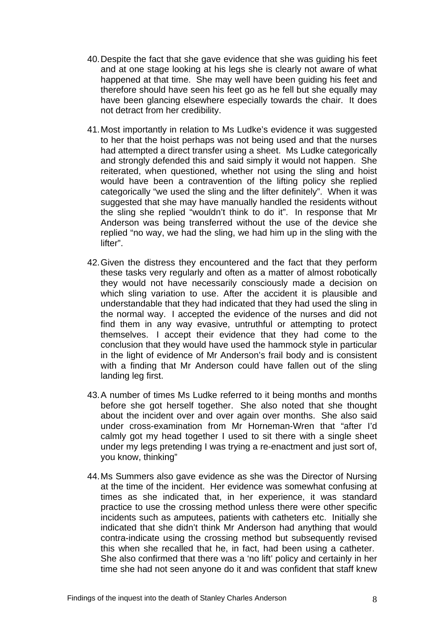- 40. Despite the fact that she gave evidence that she was guiding his feet and at one stage looking at his legs she is clearly not aware of what happened at that time. She may well have been guiding his feet and therefore should have seen his feet go as he fell but she equally may have been glancing elsewhere especially towards the chair. It does not detract from her credibility.
- 41. Most importantly in relation to Ms Ludke's evidence it was suggested to her that the hoist perhaps was not being used and that the nurses had attempted a direct transfer using a sheet. Ms Ludke categorically and strongly defended this and said simply it would not happen. She reiterated, when questioned, whether not using the sling and hoist would have been a contravention of the lifting policy she replied categorically "we used the sling and the lifter definitely". When it was suggested that she may have manually handled the residents without the sling she replied "wouldn't think to do it". In response that Mr Anderson was being transferred without the use of the device she replied "no way, we had the sling, we had him up in the sling with the lifter".
- 42. Given the distress they encountered and the fact that they perform these tasks very regularly and often as a matter of almost robotically they would not have necessarily consciously made a decision on which sling variation to use. After the accident it is plausible and understandable that they had indicated that they had used the sling in the normal way. I accepted the evidence of the nurses and did not find them in any way evasive, untruthful or attempting to protect themselves. I accept their evidence that they had come to the conclusion that they would have used the hammock style in particular in the light of evidence of Mr Anderson's frail body and is consistent with a finding that Mr Anderson could have fallen out of the sling landing leg first.
- 43. A number of times Ms Ludke referred to it being months and months before she got herself together. She also noted that she thought about the incident over and over again over months. She also said under cross-examination from Mr Horneman-Wren that "after I'd calmly got my head together I used to sit there with a single sheet under my legs pretending I was trying a re-enactment and just sort of, you know, thinking"
- 44. Ms Summers also gave evidence as she was the Director of Nursing at the time of the incident. Her evidence was somewhat confusing at times as she indicated that, in her experience, it was standard practice to use the crossing method unless there were other specific incidents such as amputees, patients with catheters etc. Initially she indicated that she didn't think Mr Anderson had anything that would contra-indicate using the crossing method but subsequently revised this when she recalled that he, in fact, had been using a catheter. She also confirmed that there was a 'no lift' policy and certainly in her time she had not seen anyone do it and was confident that staff knew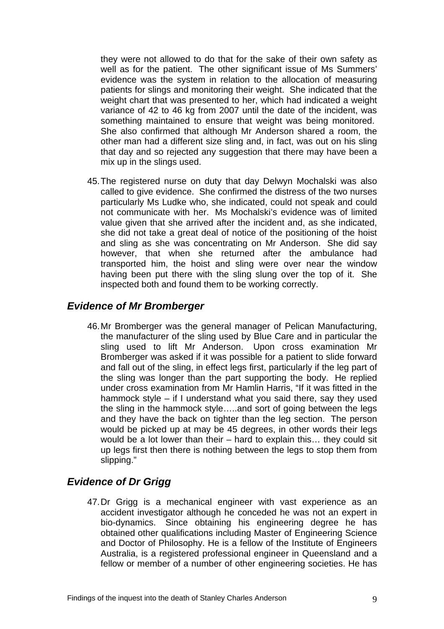they were not allowed to do that for the sake of their own safety as well as for the patient. The other significant issue of Ms Summers' evidence was the system in relation to the allocation of measuring patients for slings and monitoring their weight. She indicated that the weight chart that was presented to her, which had indicated a weight variance of 42 to 46 kg from 2007 until the date of the incident, was something maintained to ensure that weight was being monitored. She also confirmed that although Mr Anderson shared a room, the other man had a different size sling and, in fact, was out on his sling that day and so rejected any suggestion that there may have been a mix up in the slings used.

45. The registered nurse on duty that day Delwyn Mochalski was also called to give evidence. She confirmed the distress of the two nurses particularly Ms Ludke who, she indicated, could not speak and could not communicate with her. Ms Mochalski's evidence was of limited value given that she arrived after the incident and, as she indicated, she did not take a great deal of notice of the positioning of the hoist and sling as she was concentrating on Mr Anderson. She did say however, that when she returned after the ambulance had transported him, the hoist and sling were over near the window having been put there with the sling slung over the top of it. She inspected both and found them to be working correctly.

#### *Evidence of Mr Bromberger*

46. Mr Bromberger was the general manager of Pelican Manufacturing, the manufacturer of the sling used by Blue Care and in particular the sling used to lift Mr Anderson. Upon cross examination Mr Bromberger was asked if it was possible for a patient to slide forward and fall out of the sling, in effect legs first, particularly if the leg part of the sling was longer than the part supporting the body. He replied under cross examination from Mr Hamlin Harris, "If it was fitted in the hammock style – if I understand what you said there, say they used the sling in the hammock style…..and sort of going between the legs and they have the back on tighter than the leg section. The person would be picked up at may be 45 degrees, in other words their legs would be a lot lower than their – hard to explain this… they could sit up legs first then there is nothing between the legs to stop them from slipping."

#### *Evidence of Dr Grigg*

47. Dr Grigg is a mechanical engineer with vast experience as an accident investigator although he conceded he was not an expert in bio-dynamics. Since obtaining his engineering degree he has obtained other qualifications including Master of Engineering Science and Doctor of Philosophy. He is a fellow of the Institute of Engineers Australia, is a registered professional engineer in Queensland and a fellow or member of a number of other engineering societies. He has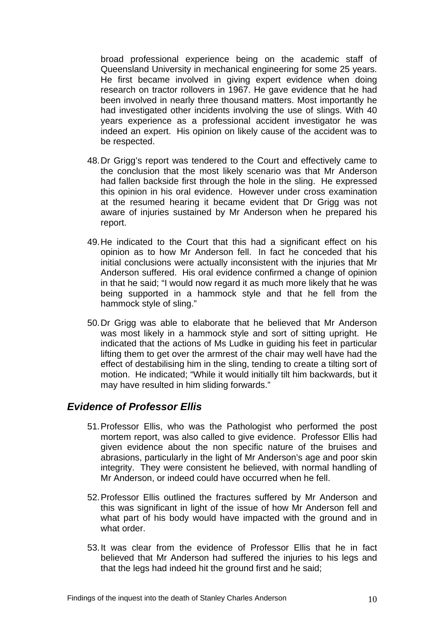broad professional experience being on the academic staff of Queensland University in mechanical engineering for some 25 years. He first became involved in giving expert evidence when doing research on tractor rollovers in 1967. He gave evidence that he had been involved in nearly three thousand matters. Most importantly he had investigated other incidents involving the use of slings. With 40 years experience as a professional accident investigator he was indeed an expert. His opinion on likely cause of the accident was to be respected.

- 48. Dr Grigg's report was tendered to the Court and effectively came to the conclusion that the most likely scenario was that Mr Anderson had fallen backside first through the hole in the sling. He expressed this opinion in his oral evidence. However under cross examination at the resumed hearing it became evident that Dr Grigg was not aware of injuries sustained by Mr Anderson when he prepared his report.
- 49. He indicated to the Court that this had a significant effect on his opinion as to how Mr Anderson fell. In fact he conceded that his initial conclusions were actually inconsistent with the injuries that Mr Anderson suffered. His oral evidence confirmed a change of opinion in that he said; "I would now regard it as much more likely that he was being supported in a hammock style and that he fell from the hammock style of sling."
- 50. Dr Grigg was able to elaborate that he believed that Mr Anderson was most likely in a hammock style and sort of sitting upright. He indicated that the actions of Ms Ludke in guiding his feet in particular lifting them to get over the armrest of the chair may well have had the effect of destabilising him in the sling, tending to create a tilting sort of motion. He indicated; "While it would initially tilt him backwards, but it may have resulted in him sliding forwards."

#### *Evidence of Professor Ellis*

- 51. Professor Ellis, who was the Pathologist who performed the post mortem report, was also called to give evidence. Professor Ellis had given evidence about the non specific nature of the bruises and abrasions, particularly in the light of Mr Anderson's age and poor skin integrity. They were consistent he believed, with normal handling of Mr Anderson, or indeed could have occurred when he fell.
- 52. Professor Ellis outlined the fractures suffered by Mr Anderson and this was significant in light of the issue of how Mr Anderson fell and what part of his body would have impacted with the ground and in what order.
- 53. It was clear from the evidence of Professor Ellis that he in fact believed that Mr Anderson had suffered the injuries to his legs and that the legs had indeed hit the ground first and he said;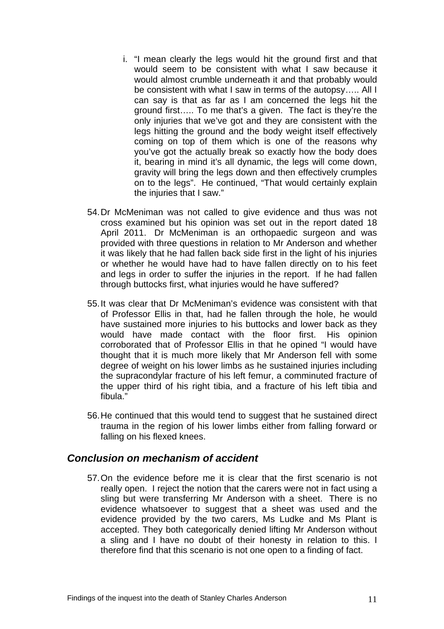- i. "I mean clearly the legs would hit the ground first and that would seem to be consistent with what I saw because it would almost crumble underneath it and that probably would be consistent with what I saw in terms of the autopsy….. All I can say is that as far as I am concerned the legs hit the ground first….. To me that's a given. The fact is they're the only injuries that we've got and they are consistent with the legs hitting the ground and the body weight itself effectively coming on top of them which is one of the reasons why you've got the actually break so exactly how the body does it, bearing in mind it's all dynamic, the legs will come down, gravity will bring the legs down and then effectively crumples on to the legs". He continued, "That would certainly explain the injuries that I saw."
- 54. Dr McMeniman was not called to give evidence and thus was not cross examined but his opinion was set out in the report dated 18 April 2011. Dr McMeniman is an orthopaedic surgeon and was provided with three questions in relation to Mr Anderson and whether it was likely that he had fallen back side first in the light of his injuries or whether he would have had to have fallen directly on to his feet and legs in order to suffer the injuries in the report. If he had fallen through buttocks first, what injuries would he have suffered?
- 55. It was clear that Dr McMeniman's evidence was consistent with that of Professor Ellis in that, had he fallen through the hole, he would have sustained more injuries to his buttocks and lower back as they would have made contact with the floor first. His opinion corroborated that of Professor Ellis in that he opined "I would have thought that it is much more likely that Mr Anderson fell with some degree of weight on his lower limbs as he sustained injuries including the supracondylar fracture of his left femur, a comminuted fracture of the upper third of his right tibia, and a fracture of his left tibia and fibula."
- 56. He continued that this would tend to suggest that he sustained direct trauma in the region of his lower limbs either from falling forward or falling on his flexed knees.

#### *Conclusion on mechanism of accident*

57. On the evidence before me it is clear that the first scenario is not really open. I reject the notion that the carers were not in fact using a sling but were transferring Mr Anderson with a sheet. There is no evidence whatsoever to suggest that a sheet was used and the evidence provided by the two carers, Ms Ludke and Ms Plant is accepted. They both categorically denied lifting Mr Anderson without a sling and I have no doubt of their honesty in relation to this. I therefore find that this scenario is not one open to a finding of fact.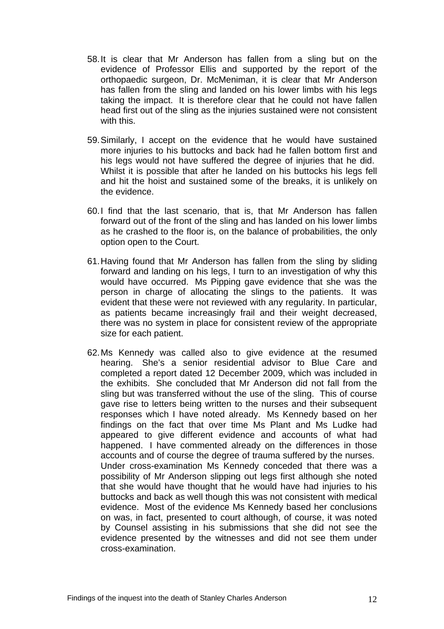- 58. It is clear that Mr Anderson has fallen from a sling but on the evidence of Professor Ellis and supported by the report of the orthopaedic surgeon, Dr. McMeniman, it is clear that Mr Anderson has fallen from the sling and landed on his lower limbs with his legs taking the impact. It is therefore clear that he could not have fallen head first out of the sling as the injuries sustained were not consistent with this.
- 59. Similarly, I accept on the evidence that he would have sustained more injuries to his buttocks and back had he fallen bottom first and his legs would not have suffered the degree of injuries that he did. Whilst it is possible that after he landed on his buttocks his legs fell and hit the hoist and sustained some of the breaks, it is unlikely on the evidence.
- 60. I find that the last scenario, that is, that Mr Anderson has fallen forward out of the front of the sling and has landed on his lower limbs as he crashed to the floor is, on the balance of probabilities, the only option open to the Court.
- 61. Having found that Mr Anderson has fallen from the sling by sliding forward and landing on his legs, I turn to an investigation of why this would have occurred. Ms Pipping gave evidence that she was the person in charge of allocating the slings to the patients. It was evident that these were not reviewed with any regularity. In particular, as patients became increasingly frail and their weight decreased, there was no system in place for consistent review of the appropriate size for each patient.
- 62. Ms Kennedy was called also to give evidence at the resumed hearing. She's a senior residential advisor to Blue Care and completed a report dated 12 December 2009, which was included in the exhibits. She concluded that Mr Anderson did not fall from the sling but was transferred without the use of the sling. This of course gave rise to letters being written to the nurses and their subsequent responses which I have noted already. Ms Kennedy based on her findings on the fact that over time Ms Plant and Ms Ludke had appeared to give different evidence and accounts of what had happened. I have commented already on the differences in those accounts and of course the degree of trauma suffered by the nurses. Under cross-examination Ms Kennedy conceded that there was a possibility of Mr Anderson slipping out legs first although she noted that she would have thought that he would have had injuries to his buttocks and back as well though this was not consistent with medical evidence. Most of the evidence Ms Kennedy based her conclusions on was, in fact, presented to court although, of course, it was noted by Counsel assisting in his submissions that she did not see the evidence presented by the witnesses and did not see them under cross-examination.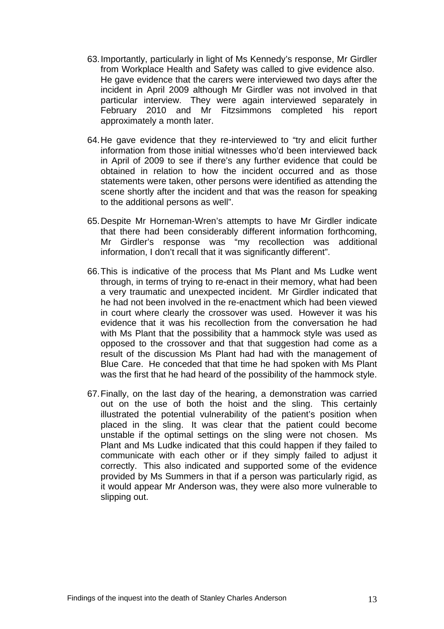- 63. Importantly, particularly in light of Ms Kennedy's response, Mr Girdler from Workplace Health and Safety was called to give evidence also. He gave evidence that the carers were interviewed two days after the incident in April 2009 although Mr Girdler was not involved in that particular interview. They were again interviewed separately in February 2010 and Mr Fitzsimmons completed his report approximately a month later.
- 64. He gave evidence that they re-interviewed to "try and elicit further information from those initial witnesses who'd been interviewed back in April of 2009 to see if there's any further evidence that could be obtained in relation to how the incident occurred and as those statements were taken, other persons were identified as attending the scene shortly after the incident and that was the reason for speaking to the additional persons as well".
- 65. Despite Mr Horneman-Wren's attempts to have Mr Girdler indicate that there had been considerably different information forthcoming, Mr Girdler's response was "my recollection was additional information, I don't recall that it was significantly different".
- 66. This is indicative of the process that Ms Plant and Ms Ludke went through, in terms of trying to re-enact in their memory, what had been a very traumatic and unexpected incident. Mr Girdler indicated that he had not been involved in the re-enactment which had been viewed in court where clearly the crossover was used. However it was his evidence that it was his recollection from the conversation he had with Ms Plant that the possibility that a hammock style was used as opposed to the crossover and that that suggestion had come as a result of the discussion Ms Plant had had with the management of Blue Care. He conceded that that time he had spoken with Ms Plant was the first that he had heard of the possibility of the hammock style.
- 67. Finally, on the last day of the hearing, a demonstration was carried out on the use of both the hoist and the sling. This certainly illustrated the potential vulnerability of the patient's position when placed in the sling. It was clear that the patient could become unstable if the optimal settings on the sling were not chosen. Ms Plant and Ms Ludke indicated that this could happen if they failed to communicate with each other or if they simply failed to adjust it correctly. This also indicated and supported some of the evidence provided by Ms Summers in that if a person was particularly rigid, as it would appear Mr Anderson was, they were also more vulnerable to slipping out.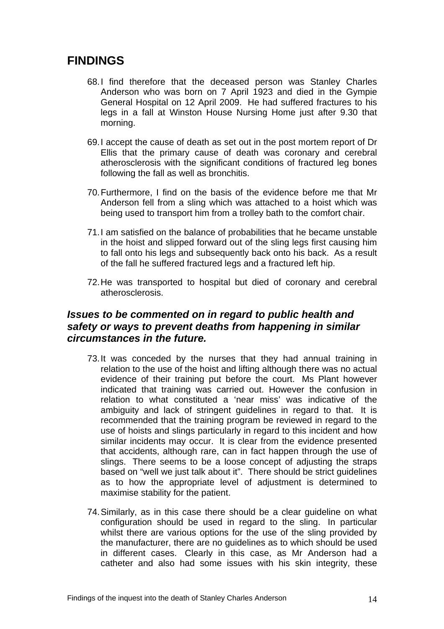## **FINDINGS**

- 68. I find therefore that the deceased person was Stanley Charles Anderson who was born on 7 April 1923 and died in the Gympie General Hospital on 12 April 2009. He had suffered fractures to his legs in a fall at Winston House Nursing Home just after 9.30 that morning.
- 69. I accept the cause of death as set out in the post mortem report of Dr Ellis that the primary cause of death was coronary and cerebral atherosclerosis with the significant conditions of fractured leg bones following the fall as well as bronchitis.
- 70. Furthermore, I find on the basis of the evidence before me that Mr Anderson fell from a sling which was attached to a hoist which was being used to transport him from a trolley bath to the comfort chair.
- 71. I am satisfied on the balance of probabilities that he became unstable in the hoist and slipped forward out of the sling legs first causing him to fall onto his legs and subsequently back onto his back. As a result of the fall he suffered fractured legs and a fractured left hip.
- 72. He was transported to hospital but died of coronary and cerebral atherosclerosis.

#### *Issues to be commented on in regard to public health and safety or ways to prevent deaths from happening in similar circumstances in the future.*

- 73. It was conceded by the nurses that they had annual training in relation to the use of the hoist and lifting although there was no actual evidence of their training put before the court. Ms Plant however indicated that training was carried out. However the confusion in relation to what constituted a 'near miss' was indicative of the ambiguity and lack of stringent guidelines in regard to that. It is recommended that the training program be reviewed in regard to the use of hoists and slings particularly in regard to this incident and how similar incidents may occur. It is clear from the evidence presented that accidents, although rare, can in fact happen through the use of slings. There seems to be a loose concept of adjusting the straps based on "well we just talk about it". There should be strict guidelines as to how the appropriate level of adjustment is determined to maximise stability for the patient.
- 74. Similarly, as in this case there should be a clear guideline on what configuration should be used in regard to the sling. In particular whilst there are various options for the use of the sling provided by the manufacturer, there are no guidelines as to which should be used in different cases. Clearly in this case, as Mr Anderson had a catheter and also had some issues with his skin integrity, these